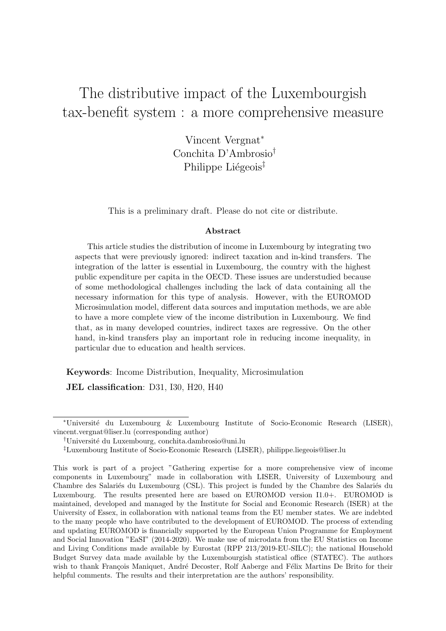# The distributive impact of the Luxembourgish tax-benefit system : a more comprehensive measure

Vincent Vergnat<sup>∗</sup> Conchita D'Ambrosio† Philippe Liégeois<sup>‡</sup>

This is a preliminary draft. Please do not cite or distribute.

#### Abstract

This article studies the distribution of income in Luxembourg by integrating two aspects that were previously ignored: indirect taxation and in-kind transfers. The integration of the latter is essential in Luxembourg, the country with the highest public expenditure per capita in the OECD. These issues are understudied because of some methodological challenges including the lack of data containing all the necessary information for this type of analysis. However, with the EUROMOD Microsimulation model, different data sources and imputation methods, we are able to have a more complete view of the income distribution in Luxembourg. We find that, as in many developed countries, indirect taxes are regressive. On the other hand, in-kind transfers play an important role in reducing income inequality, in particular due to education and health services.

Keywords: Income Distribution, Inequality, Microsimulation

JEL classification: D31, I30, H20, H40

<sup>∗</sup>Universit´e du Luxembourg & Luxembourg Institute of Socio-Economic Research (LISER), vincent.vergnat@liser.lu (corresponding author)

<sup>†</sup>Universit´e du Luxembourg, conchita.dambrosio@uni.lu

<sup>‡</sup>Luxembourg Institute of Socio-Economic Research (LISER), philippe.liegeois@liser.lu

This work is part of a project "Gathering expertise for a more comprehensive view of income components in Luxembourg" made in collaboration with LISER, University of Luxembourg and Chambre des Salariés du Luxembourg (CSL). This project is funded by the Chambre des Salariés du Luxembourg. The results presented here are based on EUROMOD version I1.0+. EUROMOD is maintained, developed and managed by the Institute for Social and Economic Research (ISER) at the University of Essex, in collaboration with national teams from the EU member states. We are indebted to the many people who have contributed to the development of EUROMOD. The process of extending and updating EUROMOD is financially supported by the European Union Programme for Employment and Social Innovation "EaSI" (2014-2020). We make use of microdata from the EU Statistics on Income and Living Conditions made available by Eurostat (RPP 213/2019-EU-SILC); the national Household Budget Survey data made available by the Luxembourgish statistical office (STATEC). The authors wish to thank François Maniquet, André Decoster, Rolf Aaberge and Félix Martins De Brito for their helpful comments. The results and their interpretation are the authors' responsibility.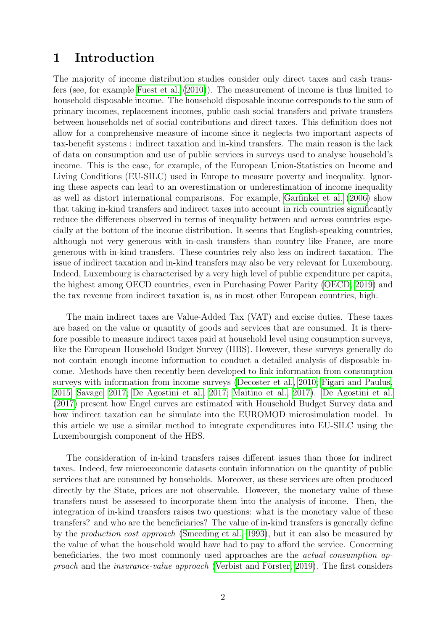### 1 Introduction

The majority of income distribution studies consider only direct taxes and cash transfers (see, for example [Fuest et al.](#page-26-0) [\(2010\)](#page-26-0)). The measurement of income is thus limited to household disposable income. The household disposable income corresponds to the sum of primary incomes, replacement incomes, public cash social transfers and private transfers between households net of social contributions and direct taxes. This definition does not allow for a comprehensive measure of income since it neglects two important aspects of tax-benefit systems : indirect taxation and in-kind transfers. The main reason is the lack of data on consumption and use of public services in surveys used to analyse household's income. This is the case, for example, of the European Union-Statistics on Income and Living Conditions (EU-SILC) used in Europe to measure poverty and inequality. Ignoring these aspects can lead to an overestimation or underestimation of income inequality as well as distort international comparisons. For example, [Garfinkel et al.](#page-26-1) [\(2006\)](#page-26-1) show that taking in-kind transfers and indirect taxes into account in rich countries significantly reduce the differences observed in terms of inequality between and across countries especially at the bottom of the income distribution. It seems that English-speaking countries, although not very generous with in-cash transfers than country like France, are more generous with in-kind transfers. These countries rely also less on indirect taxation. The issue of indirect taxation and in-kind transfers may also be very relevant for Luxembourg. Indeed, Luxembourg is characterised by a very high level of public expenditure per capita, the highest among OECD countries, even in Purchasing Power Parity [\(OECD, 2019\)](#page-26-2) and the tax revenue from indirect taxation is, as in most other European countries, high.

The main indirect taxes are Value-Added Tax (VAT) and excise duties. These taxes are based on the value or quantity of goods and services that are consumed. It is therefore possible to measure indirect taxes paid at household level using consumption surveys, like the European Household Budget Survey (HBS). However, these surveys generally do not contain enough income information to conduct a detailed analysis of disposable income. Methods have then recently been developed to link information from consumption surveys with information from income surveys [\(Decoster et al., 2010;](#page-26-3) [Figari and Paulus,](#page-26-4) [2015;](#page-26-4) [Savage, 2017;](#page-27-0) [De Agostini et al., 2017;](#page-26-5) [Maitino et al., 2017\)](#page-26-6). [De Agostini et al.](#page-26-5) [\(2017\)](#page-26-5) present how Engel curves are estimated with Household Budget Survey data and how indirect taxation can be simulate into the EUROMOD microsimulation model. In this article we use a similar method to integrate expenditures into EU-SILC using the Luxembourgish component of the HBS.

The consideration of in-kind transfers raises different issues than those for indirect taxes. Indeed, few microeconomic datasets contain information on the quantity of public services that are consumed by households. Moreover, as these services are often produced directly by the State, prices are not observable. However, the monetary value of these transfers must be assessed to incorporate them into the analysis of income. Then, the integration of in-kind transfers raises two questions: what is the monetary value of these transfers? and who are the beneficiaries? The value of in-kind transfers is generally define by the production cost approach [\(Smeeding et al., 1993\)](#page-27-1), but it can also be measured by the value of what the household would have had to pay to afford the service. Concerning beneficiaries, the two most commonly used approaches are the actual consumption approach and the *insurance-value approach* (Verbist and Förster, 2019). The first considers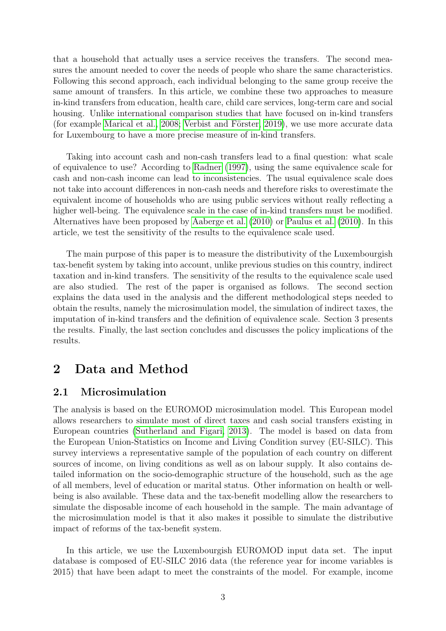that a household that actually uses a service receives the transfers. The second measures the amount needed to cover the needs of people who share the same characteristics. Following this second approach, each individual belonging to the same group receive the same amount of transfers. In this article, we combine these two approaches to measure in-kind transfers from education, health care, child care services, long-term care and social housing. Unlike international comparison studies that have focused on in-kind transfers (for example [Marical et al., 2008;](#page-26-7) Verbist and Förster, 2019), we use more accurate data for Luxembourg to have a more precise measure of in-kind transfers.

Taking into account cash and non-cash transfers lead to a final question: what scale of equivalence to use? According to [Radner](#page-27-3) [\(1997\)](#page-27-3), using the same equivalence scale for cash and non-cash income can lead to inconsistencies. The usual equivalence scale does not take into account differences in non-cash needs and therefore risks to overestimate the equivalent income of households who are using public services without really reflecting a higher well-being. The equivalence scale in the case of in-kind transfers must be modified. Alternatives have been proposed by [Aaberge et al.](#page-26-8) [\(2010\)](#page-26-8) or [Paulus et al.](#page-27-4) [\(2010\)](#page-27-4). In this article, we test the sensitivity of the results to the equivalence scale used.

The main purpose of this paper is to measure the distributivity of the Luxembourgish tax-benefit system by taking into account, unlike previous studies on this country, indirect taxation and in-kind transfers. The sensitivity of the results to the equivalence scale used are also studied. The rest of the paper is organised as follows. The second section explains the data used in the analysis and the different methodological steps needed to obtain the results, namely the microsimulation model, the simulation of indirect taxes, the imputation of in-kind transfers and the definition of equivalence scale. Section 3 presents the results. Finally, the last section concludes and discusses the policy implications of the results.

## 2 Data and Method

### 2.1 Microsimulation

The analysis is based on the EUROMOD microsimulation model. This European model allows researchers to simulate most of direct taxes and cash social transfers existing in European countries [\(Sutherland and Figari, 2013\)](#page-27-5). The model is based on data from the European Union-Statistics on Income and Living Condition survey (EU-SILC). This survey interviews a representative sample of the population of each country on different sources of income, on living conditions as well as on labour supply. It also contains detailed information on the socio-demographic structure of the household, such as the age of all members, level of education or marital status. Other information on health or wellbeing is also available. These data and the tax-benefit modelling allow the researchers to simulate the disposable income of each household in the sample. The main advantage of the microsimulation model is that it also makes it possible to simulate the distributive impact of reforms of the tax-benefit system.

In this article, we use the Luxembourgish EUROMOD input data set. The input database is composed of EU-SILC 2016 data (the reference year for income variables is 2015) that have been adapt to meet the constraints of the model. For example, income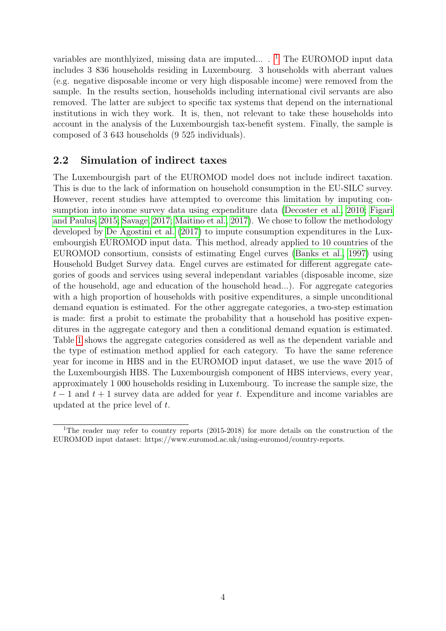variables are monthlyized, missing data are imputed...  $\cdot$  <sup>[1](#page-3-0)</sup> The EUROMOD input data includes 3 836 households residing in Luxembourg. 3 households with aberrant values (e.g. negative disposable income or very high disposable income) were removed from the sample. In the results section, households including international civil servants are also removed. The latter are subject to specific tax systems that depend on the international institutions in wich they work. It is, then, not relevant to take these households into account in the analysis of the Luxembourgish tax-benefit system. Finally, the sample is composed of 3 643 households (9 525 individuals).

### 2.2 Simulation of indirect taxes

The Luxembourgish part of the EUROMOD model does not include indirect taxation. This is due to the lack of information on household consumption in the EU-SILC survey. However, recent studies have attempted to overcome this limitation by imputing consumption into income survey data using expenditure data [\(Decoster et al., 2010;](#page-26-3) [Figari](#page-26-4) [and Paulus, 2015;](#page-26-4) [Savage, 2017;](#page-27-0) [Maitino et al., 2017\)](#page-26-6). We chose to follow the methodology developed by [De Agostini et al.](#page-26-5) [\(2017\)](#page-26-5) to impute consumption expenditures in the Luxembourgish EUROMOD input data. This method, already applied to 10 countries of the EUROMOD consortium, consists of estimating Engel curves [\(Banks et al., 1997\)](#page-26-9) using Household Budget Survey data. Engel curves are estimated for different aggregate categories of goods and services using several independant variables (disposable income, size of the household, age and education of the household head...). For aggregate categories with a high proportion of households with positive expenditures, a simple unconditional demand equation is estimated. For the other aggregate categories, a two-step estimation is made: first a probit to estimate the probability that a household has positive expenditures in the aggregate category and then a conditional demand equation is estimated. Table [1](#page-4-0) shows the aggregate categories considered as well as the dependent variable and the type of estimation method applied for each category. To have the same reference year for income in HBS and in the EUROMOD input dataset, we use the wave 2015 of the Luxembourgish HBS. The Luxembourgish component of HBS interviews, every year, approximately 1 000 households residing in Luxembourg. To increase the sample size, the  $t-1$  and  $t+1$  survey data are added for year t. Expenditure and income variables are updated at the price level of t.

<span id="page-3-0"></span><sup>1</sup>The reader may refer to country reports (2015-2018) for more details on the construction of the EUROMOD input dataset: https://www.euromod.ac.uk/using-euromod/country-reports.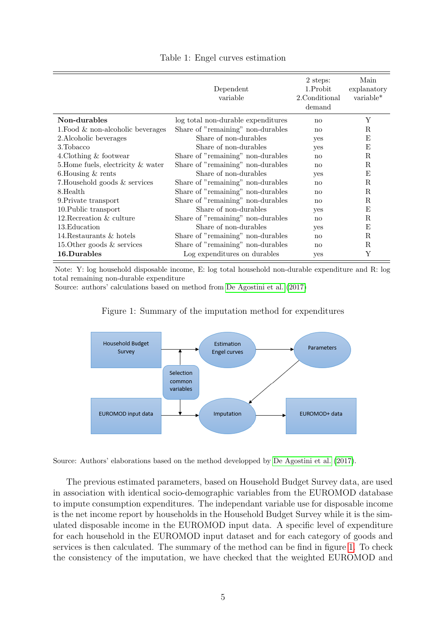<span id="page-4-0"></span>

|                                      | Dependent<br>variable              | 2 steps:<br>1.Probit<br>2. Conditional<br>demand | Main<br>explanatory<br>variable* |
|--------------------------------------|------------------------------------|--------------------------------------------------|----------------------------------|
| Non-durables                         | log total non-durable expenditures | no                                               | Υ                                |
| 1. Food $\&$ non-alcoholic beverages | Share of "remaining" non-durables  | no                                               | R                                |
| 2. Alcoholic beverages               | Share of non-durables              | yes                                              | Ε                                |
| 3. Tobacco                           | Share of non-durables              | yes                                              | Ε                                |
| 4. Clothing & footwear               | Share of "remaining" non-durables  | $\mathbf{n}$                                     | $_{\rm R}$                       |
| 5. Home fuels, electricity & water   | Share of "remaining" non-durables  | no                                               | R                                |
| 6. Housing $&$ rents                 | Share of non-durables              | yes                                              | Ε                                |
| 7. Household goods & services        | Share of "remaining" non-durables  | $\mathbf{n}$                                     | R                                |
| 8.Health                             | Share of "remaining" non-durables  | $\mathbf{n}$                                     | R                                |
| 9. Private transport                 | Share of "remaining" non-durables  | $\mathbf{n}$                                     | R                                |
| 10. Public transport                 | Share of non-durables              | yes                                              | E                                |
| 12. Recreation & culture             | Share of "remaining" non-durables  | $\mathbf{n}$                                     | R                                |
| 13. Education                        | Share of non-durables              | yes                                              | Ε                                |
| 14. Restaurants & hotels             | Share of "remaining" non-durables  | no                                               | R                                |
| 15.0 ther goods $\&$ services        | Share of "remaining" non-durables  | no                                               | R                                |
| 16.Durables                          | Log expenditures on durables       | yes                                              | Y                                |

#### Table 1: Engel curves estimation

Note: Y: log household disposable income, E: log total household non-durable expenditure and R: log total remaining non-durable expenditure

<span id="page-4-1"></span>Source: authors' calculations based on method from [De Agostini et al.](#page-26-5) [\(2017\)](#page-26-5)





Source: Authors' elaborations based on the method developped by [De Agostini et al.](#page-26-5) [\(2017\)](#page-26-5).

The previous estimated parameters, based on Household Budget Survey data, are used in association with identical socio-demographic variables from the EUROMOD database to impute consumption expenditures. The independant variable use for disposable income is the net income report by households in the Household Budget Survey while it is the simulated disposable income in the EUROMOD input data. A specific level of expenditure for each household in the EUROMOD input dataset and for each category of goods and services is then calculated. The summary of the method can be find in figure [1.](#page-4-1) To check the consistency of the imputation, we have checked that the weighted EUROMOD and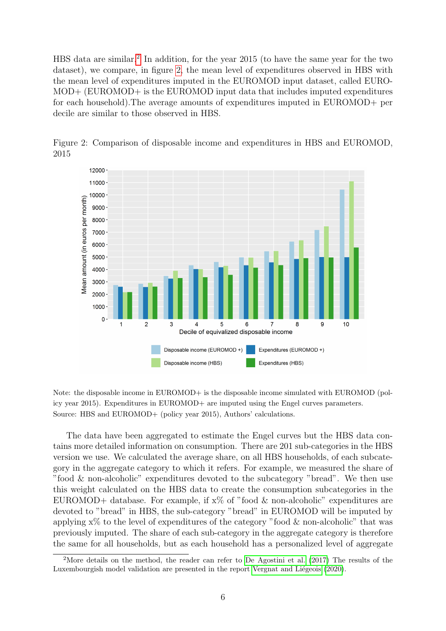HBS data are similar.<sup>[2](#page-5-0)</sup> In addition, for the year 2015 (to have the same year for the two dataset), we compare, in figure [2,](#page-5-1) the mean level of expenditures observed in HBS with the mean level of expenditures imputed in the EUROMOD input dataset, called EURO-MOD+ (EUROMOD+ is the EUROMOD input data that includes imputed expenditures for each household).The average amounts of expenditures imputed in EUROMOD+ per decile are similar to those observed in HBS.



<span id="page-5-1"></span>Figure 2: Comparison of disposable income and expenditures in HBS and EUROMOD, 2015

Note: the disposable income in EUROMOD+ is the disposable income simulated with EUROMOD (policy year 2015). Expenditures in EUROMOD+ are imputed using the Engel curves parameters. Source: HBS and EUROMOD+ (policy year 2015), Authors' calculations.

The data have been aggregated to estimate the Engel curves but the HBS data contains more detailed information on consumption. There are 201 sub-categories in the HBS version we use. We calculated the average share, on all HBS households, of each subcategory in the aggregate category to which it refers. For example, we measured the share of "food & non-alcoholic" expenditures devoted to the subcategory "bread". We then use this weight calculated on the HBS data to create the consumption subcategories in the EUROMOD+ database. For example, if  $x\%$  of "food & non-alcoholic" expenditures are devoted to "bread" in HBS, the sub-category "bread" in EUROMOD will be imputed by applying  $x\%$  to the level of expenditures of the category "food & non-alcoholic" that was previously imputed. The share of each sub-category in the aggregate category is therefore the same for all households, but as each household has a personalized level of aggregate

<span id="page-5-0"></span><sup>&</sup>lt;sup>2</sup>More details on the method, the reader can refer to [De Agostini et al.](#page-26-5) [\(2017\)](#page-26-5) The results of the Luxembourgish model validation are presented in the report Vergnat and Liégeois [\(2020\)](#page-27-6).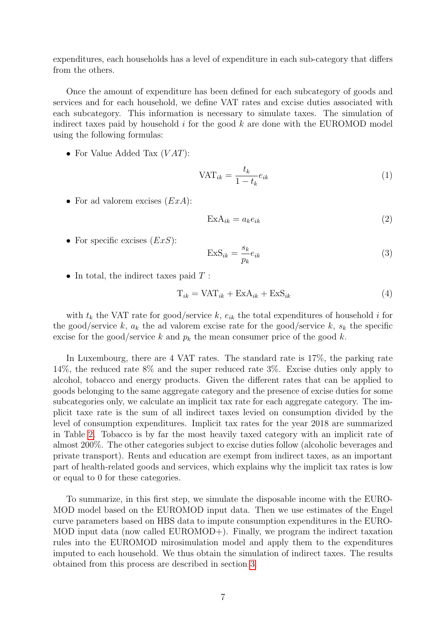expenditures, each households has a level of expenditure in each sub-category that differs from the others.

Once the amount of expenditure has been defined for each subcategory of goods and services and for each household, we define VAT rates and excise duties associated with each subcategory. This information is necessary to simulate taxes. The simulation of indirect taxes paid by household  $i$  for the good  $k$  are done with the EUROMOD model using the following formulas:

• For Value Added Tax  $(VAT)$ :

$$
\text{VAT}_{ik} = \frac{t_k}{1 - t_k} e_{ik} \tag{1}
$$

• For ad valorem excises  $(ExA)$ :

$$
ExA_{ik} = a_k e_{ik}
$$
 (2)

• For specific excises  $(EXS)$ :

$$
ExS_{ik} = \frac{s_k}{p_k} e_{ik}
$$
 (3)

• In total, the indirect taxes paid  $T$ :

$$
T_{ik} = \text{VAT}_{ik} + \text{ExA}_{ik} + \text{ExS}_{ik} \tag{4}
$$

with  $t_k$  the VAT rate for good/service k,  $e_{ik}$  the total expenditures of household i for the good/service k,  $a_k$  the ad valorem excise rate for the good/service k,  $s_k$  the specific excise for the good/service k and  $p_k$  the mean consumer price of the good k.

In Luxembourg, there are 4 VAT rates. The standard rate is 17%, the parking rate 14%, the reduced rate 8% and the super reduced rate 3%. Excise duties only apply to alcohol, tobacco and energy products. Given the different rates that can be applied to goods belonging to the same aggregate category and the presence of excise duties for some subcategories only, we calculate an implicit tax rate for each aggregate category. The implicit taxe rate is the sum of all indirect taxes levied on consumption divided by the level of consumption expenditures. Implicit tax rates for the year 2018 are summarized in Table [2.](#page-7-0) Tobacco is by far the most heavily taxed category with an implicit rate of almost 200%. The other categories subject to excise duties follow (alcoholic beverages and private transport). Rents and education are exempt from indirect taxes, as an important part of health-related goods and services, which explains why the implicit tax rates is low or equal to 0 for these categories.

To summarize, in this first step, we simulate the disposable income with the EURO-MOD model based on the EUROMOD input data. Then we use estimates of the Engel curve parameters based on HBS data to impute consumption expenditures in the EURO-MOD input data (now called EUROMOD+). Finally, we program the indirect taxation rules into the EUROMOD mirosimulation model and apply them to the expenditures imputed to each household. We thus obtain the simulation of indirect taxes. The results obtained from this process are described in section [3.](#page-16-0)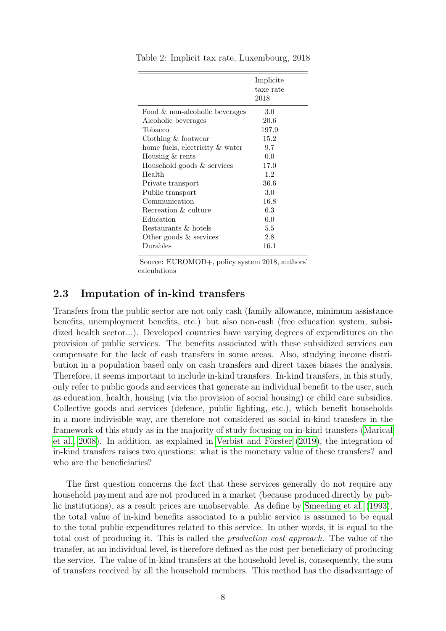|                                   | Implicite<br>taxe rate<br>2018 |
|-----------------------------------|--------------------------------|
| Food $\&$ non-alcoholic beverages | 3.0                            |
| Alcoholic beverages               | 20.6                           |
| Tobacco                           | 197.9                          |
| Clothing & footwear               | 15.2                           |
| home fuels, electricity & water   | 9.7                            |
| Housing & rents                   | 0.0                            |
| Household goods & services        | 17.0                           |
| Health                            | 1.2                            |
| Private transport                 | 36.6                           |
| Public transport                  | 3.0                            |
| Communication                     | 16.8                           |
| Recreation & culture              | 6.3                            |
| Education                         | 0.0                            |
| Restaurants & hotels              | 5.5                            |
| Other goods $\&$ services         | 2.8                            |
| Durables                          | 16.1                           |

<span id="page-7-0"></span>Table 2: Implicit tax rate, Luxembourg, 2018

Source: EUROMOD+, policy system 2018, authors' calculations

### 2.3 Imputation of in-kind transfers

Transfers from the public sector are not only cash (family allowance, minimum assistance benefits, unemployment benefits, etc.) but also non-cash (free education system, subsidized health sector...). Developed countries have varying degrees of expenditures on the provision of public services. The benefits associated with these subsidized services can compensate for the lack of cash transfers in some areas. Also, studying income distribution in a population based only on cash transfers and direct taxes biases the analysis. Therefore, it seems important to include in-kind transfers. In-kind transfers, in this study, only refer to public goods and services that generate an individual benefit to the user, such as education, health, housing (via the provision of social housing) or child care subsidies. Collective goods and services (defence, public lighting, etc.), which benefit households in a more indivisible way, are therefore not considered as social in-kind transfers in the framework of this study as in the majority of study focusing on in-kind transfers [\(Marical](#page-26-7) et al.,  $2008$ ). In addition, as explained in Verbist and Förster  $(2019)$ , the integration of in-kind transfers raises two questions: what is the monetary value of these transfers? and who are the beneficiaries?

The first question concerns the fact that these services generally do not require any household payment and are not produced in a market (because produced directly by public institutions), as a result prices are unobservable. As define by [Smeeding et al.](#page-27-1) [\(1993\)](#page-27-1), the total value of in-kind benefits associated to a public service is assumed to be equal to the total public expenditures related to this service. In other words, it is equal to the total cost of producing it. This is called the production cost approach. The value of the transfer, at an individual level, is therefore defined as the cost per beneficiary of producing the service. The value of in-kind transfers at the household level is, consequently, the sum of transfers received by all the household members. This method has the disadvantage of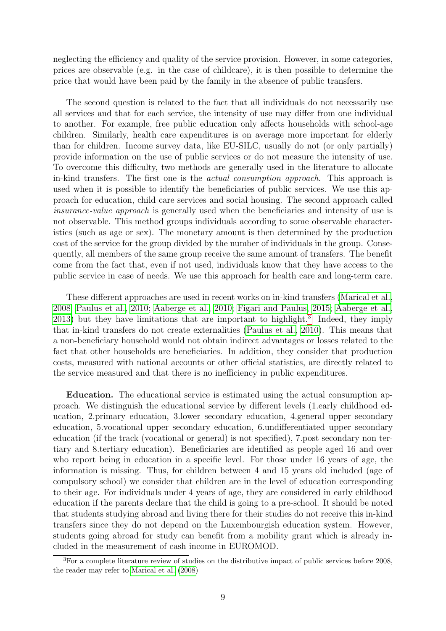neglecting the efficiency and quality of the service provision. However, in some categories, prices are observable (e.g. in the case of childcare), it is then possible to determine the price that would have been paid by the family in the absence of public transfers.

The second question is related to the fact that all individuals do not necessarily use all services and that for each service, the intensity of use may differ from one individual to another. For example, free public education only affects households with school-age children. Similarly, health care expenditures is on average more important for elderly than for children. Income survey data, like EU-SILC, usually do not (or only partially) provide information on the use of public services or do not measure the intensity of use. To overcome this difficulty, two methods are generally used in the literature to allocate in-kind transfers. The first one is the actual consumption approach. This approach is used when it is possible to identify the beneficiaries of public services. We use this approach for education, child care services and social housing. The second approach called insurance-value approach is generally used when the beneficiaries and intensity of use is not observable. This method groups individuals according to some observable characteristics (such as age or sex). The monetary amount is then determined by the production cost of the service for the group divided by the number of individuals in the group. Consequently, all members of the same group receive the same amount of transfers. The benefit come from the fact that, even if not used, individuals know that they have access to the public service in case of needs. We use this approach for health care and long-term care.

These different approaches are used in recent works on in-kind transfers [\(Marical et al.,](#page-26-7) [2008;](#page-26-7) [Paulus et al., 2010;](#page-27-4) [Aaberge et al., 2010;](#page-26-8) [Figari and Paulus, 2015;](#page-26-4) [Aaberge et al.,](#page-26-10) [2013\)](#page-26-10) but they have limitations that are important to highlight.<sup>[3](#page-8-0)</sup> Indeed, they imply that in-kind transfers do not create externalities [\(Paulus et al., 2010\)](#page-27-4). This means that a non-beneficiary household would not obtain indirect advantages or losses related to the fact that other households are beneficiaries. In addition, they consider that production costs, measured with national accounts or other official statistics, are directly related to the service measured and that there is no inefficiency in public expenditures.

Education. The educational service is estimated using the actual consumption approach. We distinguish the educational service by different levels (1.early childhood education, 2.primary education, 3.lower secondary education, 4.general upper secondary education, 5.vocational upper secondary education, 6.undifferentiated upper secondary education (if the track (vocational or general) is not specified), 7.post secondary non tertiary and 8.tertiary education). Beneficiaries are identified as people aged 16 and over who report being in education in a specific level. For those under 16 years of age, the information is missing. Thus, for children between 4 and 15 years old included (age of compulsory school) we consider that children are in the level of education corresponding to their age. For individuals under 4 years of age, they are considered in early childhood education if the parents declare that the child is going to a pre-school. It should be noted that students studying abroad and living there for their studies do not receive this in-kind transfers since they do not depend on the Luxembourgish education system. However, students going abroad for study can benefit from a mobility grant which is already included in the measurement of cash income in EUROMOD.

<span id="page-8-0"></span><sup>&</sup>lt;sup>3</sup>For a complete literature review of studies on the distributive impact of public services before 2008, the reader may refer to [Marical et al.](#page-26-7) [\(2008\)](#page-26-7)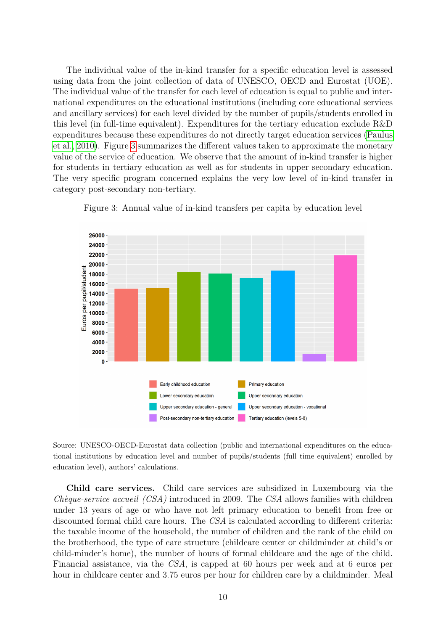The individual value of the in-kind transfer for a specific education level is assessed using data from the joint collection of data of UNESCO, OECD and Eurostat (UOE). The individual value of the transfer for each level of education is equal to public and international expenditures on the educational institutions (including core educational services and ancillary services) for each level divided by the number of pupils/students enrolled in this level (in full-time equivalent). Expenditures for the tertiary education exclude R&D expenditures because these expenditures do not directly target education services [\(Paulus](#page-27-4) [et al., 2010\)](#page-27-4). Figure [3](#page-9-0) summarizes the different values taken to approximate the monetary value of the service of education. We observe that the amount of in-kind transfer is higher for students in tertiary education as well as for students in upper secondary education. The very specific program concerned explains the very low level of in-kind transfer in category post-secondary non-tertiary.

<span id="page-9-0"></span>

Figure 3: Annual value of in-kind transfers per capita by education level

Source: UNESCO-OECD-Eurostat data collection (public and international expenditures on the educational institutions by education level and number of pupils/students (full time equivalent) enrolled by education level), authors' calculations.

Child care services. Child care services are subsidized in Luxembourg via the  $Chèque-service accuel (CSA) introduced in 2009. The CSA allows families with children$ under 13 years of age or who have not left primary education to benefit from free or discounted formal child care hours. The CSA is calculated according to different criteria: the taxable income of the household, the number of children and the rank of the child on the brotherhood, the type of care structure (childcare center or childminder at child's or child-minder's home), the number of hours of formal childcare and the age of the child. Financial assistance, via the CSA, is capped at 60 hours per week and at 6 euros per hour in childcare center and 3.75 euros per hour for children care by a childminder. Meal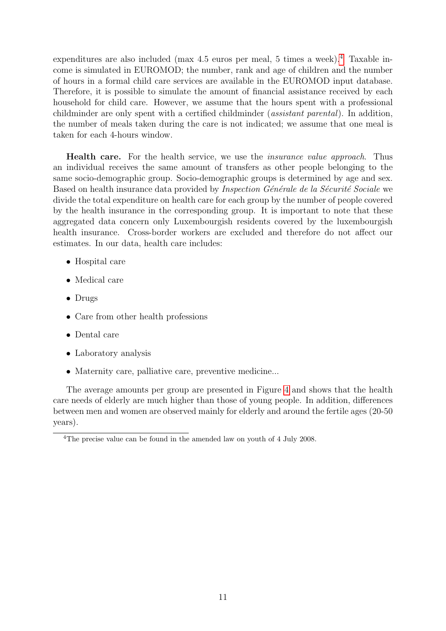expenditures are also included (max [4](#page-10-0).5 euros per meal, 5 times a week).<sup>4</sup> Taxable income is simulated in EUROMOD; the number, rank and age of children and the number of hours in a formal child care services are available in the EUROMOD input database. Therefore, it is possible to simulate the amount of financial assistance received by each household for child care. However, we assume that the hours spent with a professional childminder are only spent with a certified childminder (assistant parental). In addition, the number of meals taken during the care is not indicated; we assume that one meal is taken for each 4-hours window.

Health care. For the health service, we use the *insurance value approach*. Thus an individual receives the same amount of transfers as other people belonging to the same socio-demographic group. Socio-demographic groups is determined by age and sex. Based on health insurance data provided by *Inspection Générale de la Sécurité Sociale* we divide the total expenditure on health care for each group by the number of people covered by the health insurance in the corresponding group. It is important to note that these aggregated data concern only Luxembourgish residents covered by the luxembourgish health insurance. Cross-border workers are excluded and therefore do not affect our estimates. In our data, health care includes:

- Hospital care
- Medical care
- Drugs
- Care from other health professions
- Dental care
- Laboratory analysis
- Maternity care, palliative care, preventive medicine...

The average amounts per group are presented in Figure [4](#page-11-0) and shows that the health care needs of elderly are much higher than those of young people. In addition, differences between men and women are observed mainly for elderly and around the fertile ages (20-50 years).

<span id="page-10-0"></span><sup>&</sup>lt;sup>4</sup>The precise value can be found in the amended law on youth of 4 July 2008.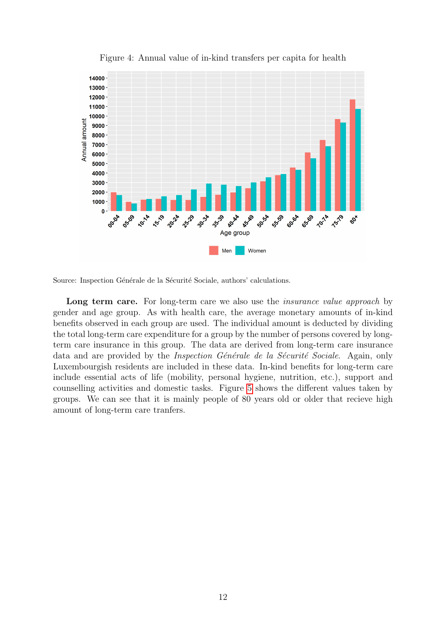<span id="page-11-0"></span>

Figure 4: Annual value of in-kind transfers per capita for health

Source: Inspection Générale de la Sécurité Sociale, authors' calculations.

Long term care. For long-term care we also use the *insurance value approach* by gender and age group. As with health care, the average monetary amounts of in-kind benefits observed in each group are used. The individual amount is deducted by dividing the total long-term care expenditure for a group by the number of persons covered by longterm care insurance in this group. The data are derived from long-term care insurance data and are provided by the *Inspection Générale de la Sécurité Sociale*. Again, only Luxembourgish residents are included in these data. In-kind benefits for long-term care include essential acts of life (mobility, personal hygiene, nutrition, etc.), support and counselling activities and domestic tasks. Figure [5](#page-12-0) shows the different values taken by groups. We can see that it is mainly people of 80 years old or older that recieve high amount of long-term care tranfers.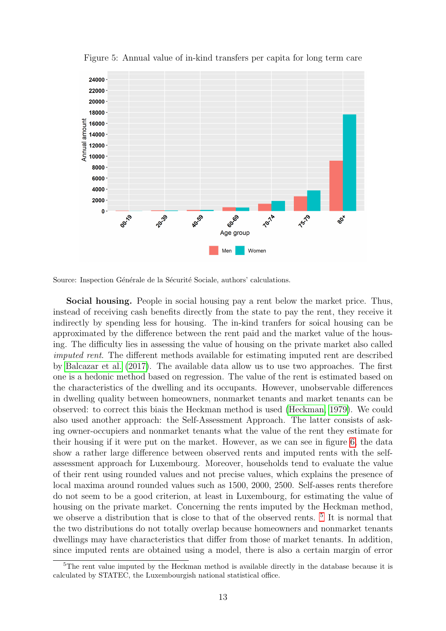<span id="page-12-0"></span>

Figure 5: Annual value of in-kind transfers per capita for long term care

Source: Inspection Générale de la Sécurité Sociale, authors' calculations.

Social housing. People in social housing pay a rent below the market price. Thus, instead of receiving cash benefits directly from the state to pay the rent, they receive it indirectly by spending less for housing. The in-kind tranfers for soical housing can be approximated by the difference between the rent paid and the market value of the housing. The difficulty lies in assessing the value of housing on the private market also called imputed rent. The different methods available for estimating imputed rent are described by [Balcazar et al.](#page-26-11) [\(2017\)](#page-26-11). The available data allow us to use two approaches. The first one is a hedonic method based on regression. The value of the rent is estimated based on the characteristics of the dwelling and its occupants. However, unobservable differences in dwelling quality between homeowners, nonmarket tenants and market tenants can be observed: to correct this biais the Heckman method is used [\(Heckman, 1979\)](#page-26-12). We could also used another approach: the Self-Assessment Approach. The latter consists of asking owner-occupiers and nonmarket tenants what the value of the rent they estimate for their housing if it were put on the market. However, as we can see in figure [6,](#page-13-0) the data show a rather large difference between observed rents and imputed rents with the selfassessment approach for Luxembourg. Moreover, households tend to evaluate the value of their rent using rounded values and not precise values, which explains the presence of local maxima around rounded values such as 1500, 2000, 2500. Self-asses rents therefore do not seem to be a good criterion, at least in Luxembourg, for estimating the value of housing on the private market. Concerning the rents imputed by the Heckman method, we observe a distribution that is close to that of the observed rents. <sup>[5](#page-12-1)</sup> It is normal that the two distributions do not totally overlap because homeowners and nonmarket tenants dwellings may have characteristics that differ from those of market tenants. In addition, since imputed rents are obtained using a model, there is also a certain margin of error

<span id="page-12-1"></span><sup>&</sup>lt;sup>5</sup>The rent value imputed by the Heckman method is available directly in the database because it is calculated by STATEC, the Luxembourgish national statistical office.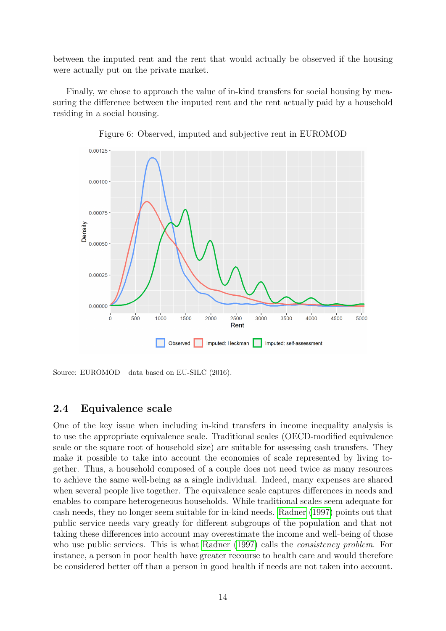between the imputed rent and the rent that would actually be observed if the housing were actually put on the private market.

Finally, we chose to approach the value of in-kind transfers for social housing by measuring the difference between the imputed rent and the rent actually paid by a household residing in a social housing.

<span id="page-13-0"></span>



Source: EUROMOD+ data based on EU-SILC (2016).

### <span id="page-13-1"></span>2.4 Equivalence scale

One of the key issue when including in-kind transfers in income inequality analysis is to use the appropriate equivalence scale. Traditional scales (OECD-modified equivalence scale or the square root of household size) are suitable for assessing cash transfers. They make it possible to take into account the economies of scale represented by living together. Thus, a household composed of a couple does not need twice as many resources to achieve the same well-being as a single individual. Indeed, many expenses are shared when several people live together. The equivalence scale captures differences in needs and enables to compare heterogeneous households. While traditional scales seem adequate for cash needs, they no longer seem suitable for in-kind needs. [Radner](#page-27-3) [\(1997\)](#page-27-3) points out that public service needs vary greatly for different subgroups of the population and that not taking these differences into account may overestimate the income and well-being of those who use public services. This is what [Radner](#page-27-3) [\(1997\)](#page-27-3) calls the *consistency problem*. For instance, a person in poor health have greater recourse to health care and would therefore be considered better off than a person in good health if needs are not taken into account.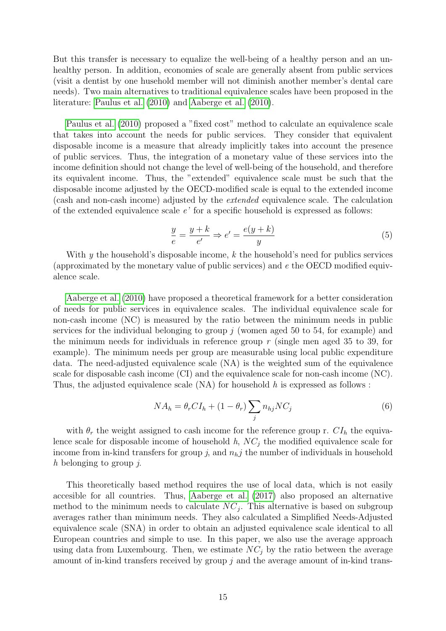But this transfer is necessary to equalize the well-being of a healthy person and an unhealthy person. In addition, economies of scale are generally absent from public services (visit a dentist by one husehold member will not diminish another member's dental care needs). Two main alternatives to traditional equivalence scales have been proposed in the literature: [Paulus et al.](#page-27-4) [\(2010\)](#page-27-4) and [Aaberge et al.](#page-26-8) [\(2010\)](#page-26-8).

[Paulus et al.](#page-27-4) [\(2010\)](#page-27-4) proposed a "fixed cost" method to calculate an equivalence scale that takes into account the needs for public services. They consider that equivalent disposable income is a measure that already implicitly takes into account the presence of public services. Thus, the integration of a monetary value of these services into the income definition should not change the level of well-being of the household, and therefore its equivalent income. Thus, the "extended" equivalence scale must be such that the disposable income adjusted by the OECD-modified scale is equal to the extended income (cash and non-cash income) adjusted by the extended equivalence scale. The calculation of the extended equivalence scale e' for a specific household is expressed as follows:

$$
\frac{y}{e} = \frac{y+k}{e'} \Rightarrow e' = \frac{e(y+k)}{y} \tag{5}
$$

With  $y$  the household's disposable income,  $k$  the household's need for publics services (approximated by the monetary value of public services) and  $e$  the OECD modified equivalence scale.

[Aaberge et al.](#page-26-8) [\(2010\)](#page-26-8) have proposed a theoretical framework for a better consideration of needs for public services in equivalence scales. The individual equivalence scale for non-cash income (NC) is measured by the ratio between the minimum needs in public services for the individual belonging to group  $j$  (women aged 50 to 54, for example) and the minimum needs for individuals in reference group  $r$  (single men aged 35 to 39, for example). The minimum needs per group are measurable using local public expenditure data. The need-adjusted equivalence scale (NA) is the weighted sum of the equivalence scale for disposable cash income (CI) and the equivalence scale for non-cash income (NC). Thus, the adjusted equivalence scale  $(NA)$  for household h is expressed as follows :

$$
NA_h = \theta_r CI_h + (1 - \theta_r) \sum_j n_{hj} NC_j \tag{6}
$$

with  $\theta_r$  the weight assigned to cash income for the reference group r.  $CI_h$  the equivalence scale for disposable income of household  $h$ ,  $NC<sub>j</sub>$  the modified equivalence scale for income from in-kind transfers for group j, and  $n_hj$  the number of individuals in household h belonging to group  $i$ .

This theoretically based method requires the use of local data, which is not easily accesible for all countries. Thus, [Aaberge et al.](#page-26-13) [\(2017\)](#page-26-13) also proposed an alternative method to the minimum needs to calculate  $NC_j$ . This alternative is based on subgroup averages rather than minimum needs. They also calculated a Simplified Needs-Adjusted equivalence scale (SNA) in order to obtain an adjusted equivalence scale identical to all European countries and simple to use. In this paper, we also use the average approach using data from Luxembourg. Then, we estimate  $NC_j$  by the ratio between the average amount of in-kind transfers received by group  $j$  and the average amount of in-kind trans-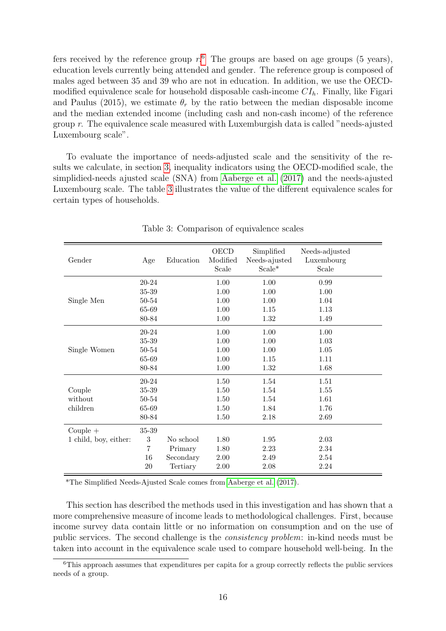fers received by the reference group  $r<sup>6</sup>$  $r<sup>6</sup>$  $r<sup>6</sup>$ . The groups are based on age groups (5 years), education levels currently being attended and gender. The reference group is composed of males aged between 35 and 39 who are not in education. In addition, we use the OECDmodified equivalence scale for household disposable cash-income  $CI<sub>h</sub>$ . Finally, like Figari and Paulus (2015), we estimate  $\theta_r$  by the ratio between the median disposable income and the median extended income (including cash and non-cash income) of the reference group r. The equivalence scale measured with Luxemburgish data is called "needs-ajusted Luxembourg scale".

To evaluate the importance of needs-adjusted scale and the sensitivity of the results we calculate, in section [3,](#page-16-0) inequality indicators using the OECD-modified scale, the simplidied-needs ajusted scale (SNA) from [Aaberge et al.](#page-26-13) [\(2017\)](#page-26-13) and the needs-ajusted Luxembourg scale. The table [3](#page-15-1) illustrates the value of the different equivalence scales for certain types of households.

<span id="page-15-1"></span>

| Gender                | Age              | Education | OECD<br>Modified<br>Scale | Simplified<br>Needs-ajusted<br>$Scale*$ | Needs-adjusted<br>Luxembourg<br>Scale |
|-----------------------|------------------|-----------|---------------------------|-----------------------------------------|---------------------------------------|
|                       | 20-24            |           | 1.00                      | 1.00                                    | 0.99                                  |
|                       | 35-39            |           | 1.00                      | 1.00                                    | 1.00                                  |
| Single Men            | 50-54            |           | 1.00                      | 1.00                                    | 1.04                                  |
|                       | 65-69            |           | 1.00                      | 1.15                                    | 1.13                                  |
|                       | 80-84            |           | 1.00                      | 1.32                                    | 1.49                                  |
|                       | 20-24            |           | 1.00                      | 1.00                                    | 1.00                                  |
|                       | 35-39            |           | 1.00                      | 1.00                                    | 1.03                                  |
| Single Women          | 50-54            |           | 1.00                      | 1.00                                    | 1.05                                  |
|                       | 65-69            |           | 1.00                      | 1.15                                    | 1.11                                  |
|                       | 80-84            |           | 1.00                      | 1.32                                    | 1.68                                  |
|                       | 20-24            |           | 1.50                      | 1.54                                    | 1.51                                  |
| Couple                | 35-39            |           | 1.50                      | 1.54                                    | 1.55                                  |
| without               | 50-54            |           | 1.50                      | 1.54                                    | 1.61                                  |
| children              | 65-69            |           | 1.50                      | 1.84                                    | 1.76                                  |
|                       | 80-84            |           | 1.50                      | 2.18                                    | 2.69                                  |
| $Couple +$            | 35-39            |           |                           |                                         |                                       |
| 1 child, boy, either: | $\boldsymbol{3}$ | No school | 1.80                      | 1.95                                    | 2.03                                  |
|                       | $\overline{7}$   | Primary   | 1.80                      | 2.23                                    | 2.34                                  |
|                       | 16               | Secondary | 2.00                      | 2.49                                    | 2.54                                  |
|                       | 20               | Tertiary  | 2.00                      | 2.08                                    | 2.24                                  |

Table 3: Comparison of equivalence scales

\*The Simplified Needs-Ajusted Scale comes from [Aaberge et al.](#page-26-13) [\(2017\)](#page-26-13).

This section has described the methods used in this investigation and has shown that a more comprehensive measure of income leads to methodological challenges. First, because income survey data contain little or no information on consumption and on the use of public services. The second challenge is the consistency problem: in-kind needs must be taken into account in the equivalence scale used to compare household well-being. In the

<span id="page-15-0"></span><sup>6</sup>This approach assumes that expenditures per capita for a group correctly reflects the public services needs of a group.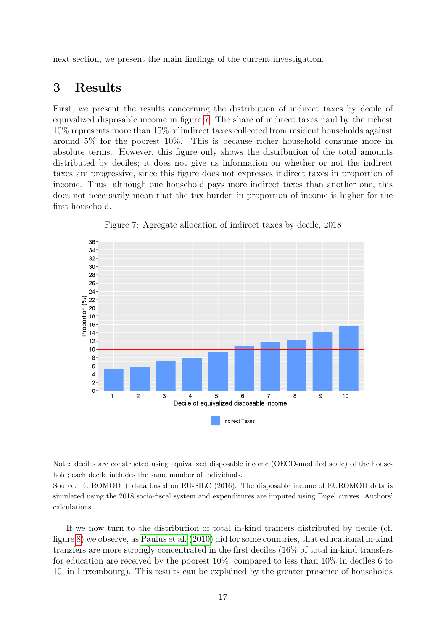next section, we present the main findings of the current investigation.

## <span id="page-16-0"></span>3 Results

First, we present the results concerning the distribution of indirect taxes by decile of equivalized disposable income in figure [7.](#page-16-1) The share of indirect taxes paid by the richest 10% represents more than 15% of indirect taxes collected from resident households against around 5% for the poorest 10%. This is because richer household consume more in absolute terms. However, this figure only shows the distribution of the total amounts distributed by deciles; it does not give us information on whether or not the indirect taxes are progressive, since this figure does not expresses indirect taxes in proportion of income. Thus, although one household pays more indirect taxes than another one, this does not necessarily mean that the tax burden in proportion of income is higher for the first household.

<span id="page-16-1"></span>



Note: deciles are constructed using equivalized disposable income (OECD-modified scale) of the household; each decile includes the same number of individuals.

Source: EUROMOD + data based on EU-SILC (2016). The disposable income of EUROMOD data is simulated using the 2018 socio-fiscal system and expenditures are imputed using Engel curves. Authors' calculations.

If we now turn to the distribution of total in-kind tranfers distributed by decile (cf. figure [8\)](#page-17-0) we observe, as [Paulus et al.](#page-27-4) [\(2010\)](#page-27-4) did for some countries, that educational in-kind transfers are more strongly concentrated in the first deciles (16% of total in-kind transfers for education are received by the poorest 10%, compared to less than 10% in deciles 6 to 10, in Luxembourg). This results can be explained by the greater presence of households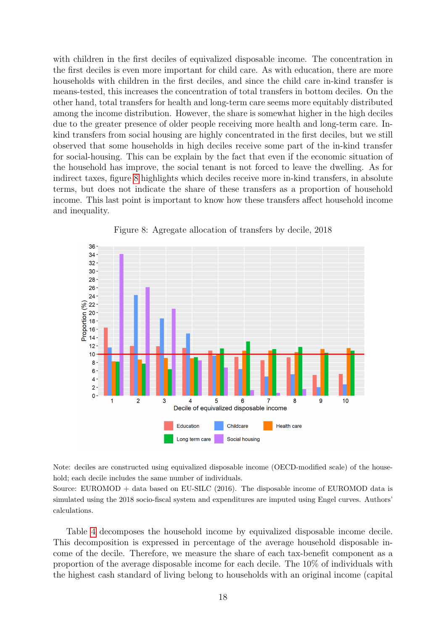with children in the first deciles of equivalized disposable income. The concentration in the first deciles is even more important for child care. As with education, there are more households with children in the first deciles, and since the child care in-kind transfer is means-tested, this increases the concentration of total transfers in bottom deciles. On the other hand, total transfers for health and long-term care seems more equitably distributed among the income distribution. However, the share is somewhat higher in the high deciles due to the greater presence of older people receiving more health and long-term care. Inkind transfers from social housing are highly concentrated in the first deciles, but we still observed that some households in high deciles receive some part of the in-kind transfer for social-housing. This can be explain by the fact that even if the economic situation of the household has improve, the social tenant is not forced to leave the dwelling. As for indirect taxes, figure [8](#page-17-0) highlights which deciles receive more in-kind transfers, in absolute terms, but does not indicate the share of these transfers as a proportion of household income. This last point is important to know how these transfers affect household income and inequality.

<span id="page-17-0"></span>

Figure 8: Agregate allocation of transfers by decile, 2018

Note: deciles are constructed using equivalized disposable income (OECD-modified scale) of the household; each decile includes the same number of individuals.

Source: EUROMOD + data based on EU-SILC (2016). The disposable income of EUROMOD data is simulated using the 2018 socio-fiscal system and expenditures are imputed using Engel curves. Authors' calculations.

Table [4](#page-18-0) decomposes the household income by equivalized disposable income decile. This decomposition is expressed in percentage of the average household disposable income of the decile. Therefore, we measure the share of each tax-benefit component as a proportion of the average disposable income for each decile. The 10% of individuals with the highest cash standard of living belong to households with an original income (capital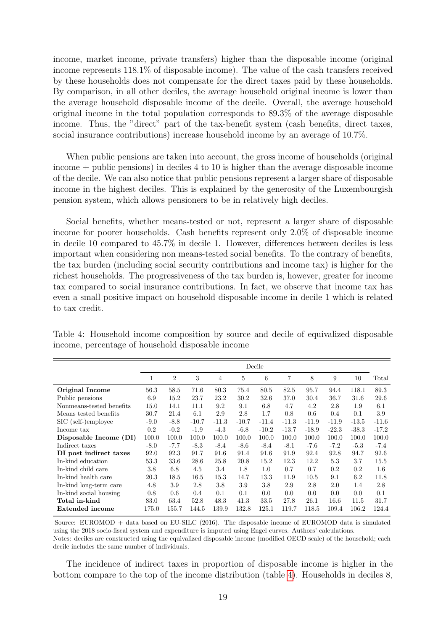income, market income, private transfers) higher than the disposable income (original income represents 118.1% of disposable income). The value of the cash transfers received by these households does not compensate for the direct taxes paid by these households. By comparison, in all other deciles, the average household original income is lower than the average household disposable income of the decile. Overall, the average household original income in the total population corresponds to 89.3% of the average disposable income. Thus, the "direct" part of the tax-benefit system (cash benefits, direct taxes, social insurance contributions) increase household income by an average of 10.7%.

When public pensions are taken into account, the gross income of households (original income + public pensions) in deciles 4 to 10 is higher than the average disposable income of the decile. We can also notice that public pensions represent a larger share of disposable income in the highest deciles. This is explained by the generosity of the Luxembourgish pension system, which allows pensioners to be in relatively high deciles.

Social benefits, whether means-tested or not, represent a larger share of disposable income for poorer households. Cash benefits represent only 2.0% of disposable income in decile 10 compared to 45.7% in decile 1. However, differences between deciles is less important when considering non means-tested social benefits. To the contrary of benefits, the tax burden (including social security contributions and income tax) is higher for the richest households. The progressiveness of the tax burden is, however, greater for income tax compared to social insurance contributions. In fact, we observe that income tax has even a small positive impact on household disposable income in decile 1 which is related to tax credit.

<span id="page-18-0"></span>

|  | Table 4: Household income composition by source and decile of equivalized disposable |  |  |  |  |
|--|--------------------------------------------------------------------------------------|--|--|--|--|
|  | income, percentage of household disposable income                                    |  |  |  |  |

|                          | Decile |                |         |         |         |         |         |         |         |         |         |
|--------------------------|--------|----------------|---------|---------|---------|---------|---------|---------|---------|---------|---------|
|                          | 1      | $\overline{2}$ | 3       | 4       | 5       | 6       | 7       | 8       | 9       | 10      | Total   |
| Original Income          | 56.3   | 58.5           | 71.6    | 80.3    | 75.4    | 80.5    | 82.5    | 95.7    | 94.4    | 118.1   | 89.3    |
| Public pensions          | 6.9    | 15.2           | 23.7    | 23.2    | 30.2    | 32.6    | 37.0    | 30.4    | 36.7    | 31.6    | 29.6    |
| Nonmeans-tested benefits | 15.0   | 14.1           | 11.1    | 9.2     | 9.1     | 6.8     | 4.7     | 4.2     | $2.8\,$ | 1.9     | 6.1     |
| Means tested benefits    | 30.7   | 21.4           | 6.1     | 2.9     | 2.8     | 1.7     | 0.8     | 0.6     | 0.4     | 0.1     | 3.9     |
| SIC (self-)employee      | $-9.0$ | $-8.8$         | $-10.7$ | $-11.3$ | $-10.7$ | $-11.4$ | $-11.3$ | $-11.9$ | $-11.9$ | $-13.5$ | $-11.6$ |
| Income tax               | 0.2    | $-0.2$         | $-1.9$  | $-4.3$  | $-6.8$  | $-10.2$ | $-13.7$ | $-18.9$ | $-22.3$ | $-38.3$ | $-17.2$ |
| Disposable Income (DI)   | 100.0  | 100.0          | 100.0   | 100.0   | 100.0   | 100.0   | 100.0   | 100.0   | 100.0   | 100.0   | 100.0   |
| Indirect taxes           | $-8.0$ | $-7.7$         | $-8.3$  | $-8.4$  | $-8.6$  | $-8.4$  | $-8.1$  | $-7.6$  | $-7.2$  | $-5.3$  | $-7.4$  |
| DI post indirect taxes   | 92.0   | 92.3           | 91.7    | 91.6    | 91.4    | 91.6    | 91.9    | 92.4    | 92.8    | 94.7    | 92.6    |
| In-kind education        | 53.3   | 33.6           | 28.6    | 25.8    | 20.8    | 15.2    | 12.3    | 12.2    | 5.3     | 3.7     | 15.5    |
| In-kind child care       | 3.8    | 6.8            | 4.5     | 3.4     | 1.8     | $1.0\,$ | 0.7     | 0.7     | 0.2     | 0.2     | $1.6\,$ |
| In-kind health care      | 20.3   | 18.5           | 16.5    | 15.3    | 14.7    | 13.3    | 11.9    | 10.5    | 9.1     | 6.2     | 11.8    |
| In-kind long-term care   | 4.8    | 3.9            | 2.8     | 3.8     | 3.9     | $3.8\,$ | 2.9     | 2.8     | 2.0     | 1.4     | 2.8     |
| In-kind social housing   | 0.8    | 0.6            | 0.4     | 0.1     | 0.1     | 0.0     | 0.0     | 0.0     | 0.0     | 0.0     | 0.1     |
| Total in-kind            | 83.0   | 63.4           | 52.8    | 48.3    | 41.3    | 33.5    | 27.8    | 26.1    | 16.6    | 11.5    | 31.7    |
| Extended income          | 175.0  | 155.7          | 144.5   | 139.9   | 132.8   | 125.1   | 119.7   | 118.5   | 109.4   | 106.2   | 124.4   |

Source: EUROMOD + data based on EU-SILC (2016). The disposable income of EUROMOD data is simulated using the 2018 socio-fiscal system and expenditure is imputed using Engel curves. Authors' calculations. Notes: deciles are constructed using the equivalized disposable income (modified OECD scale) of the household; each decile includes the same number of individuals.

The incidence of indirect taxes in proportion of disposable income is higher in the bottom compare to the top of the income distribution (table [4\)](#page-18-0). Households in deciles 8,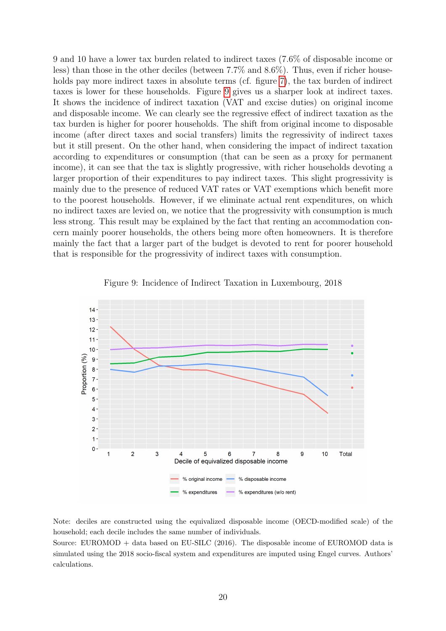9 and 10 have a lower tax burden related to indirect taxes (7.6% of disposable income or less) than those in the other deciles (between 7.7% and 8.6%). Thus, even if richer house-holds pay more indirect taxes in absolute terms (cf. figure [7\)](#page-16-1), the tax burden of indirect taxes is lower for these households. Figure [9](#page-19-0) gives us a sharper look at indirect taxes. It shows the incidence of indirect taxation (VAT and excise duties) on original income and disposable income. We can clearly see the regressive effect of indirect taxation as the tax burden is higher for poorer households. The shift from original income to disposable income (after direct taxes and social transfers) limits the regressivity of indirect taxes but it still present. On the other hand, when considering the impact of indirect taxation according to expenditures or consumption (that can be seen as a proxy for permanent income), it can see that the tax is slightly progressive, with richer households devoting a larger proportion of their expenditures to pay indirect taxes. This slight progressivity is mainly due to the presence of reduced VAT rates or VAT exemptions which benefit more to the poorest households. However, if we eliminate actual rent expenditures, on which no indirect taxes are levied on, we notice that the progressivity with consumption is much less strong. This result may be explained by the fact that renting an accommodation concern mainly poorer households, the others being more often homeowners. It is therefore mainly the fact that a larger part of the budget is devoted to rent for poorer household that is responsible for the progressivity of indirect taxes with consumption.

<span id="page-19-0"></span>

Figure 9: Incidence of Indirect Taxation in Luxembourg, 2018

Note: deciles are constructed using the equivalized disposable income (OECD-modified scale) of the household; each decile includes the same number of individuals.

Source: EUROMOD + data based on EU-SILC (2016). The disposable income of EUROMOD data is simulated using the 2018 socio-fiscal system and expenditures are imputed using Engel curves. Authors' calculations.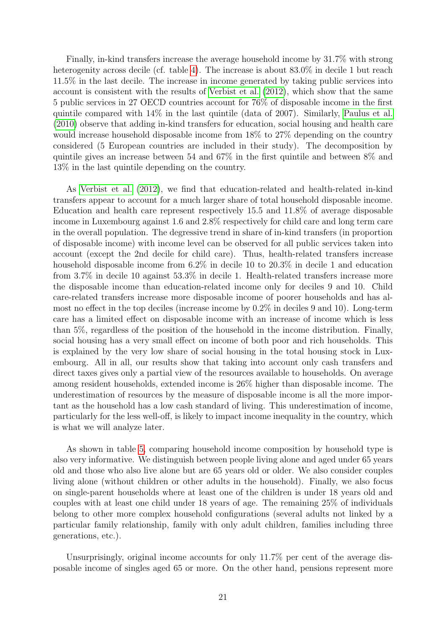Finally, in-kind transfers increase the average household income by 31.7% with strong heterogenity across decile (cf. table [4\)](#page-18-0). The increase is about  $83.0\%$  in decile 1 but reach 11.5% in the last decile. The increase in income generated by taking public services into account is consistent with the results of [Verbist et al.](#page-27-7) [\(2012\)](#page-27-7), which show that the same 5 public services in 27 OECD countries account for 76% of disposable income in the first quintile compared with 14% in the last quintile (data of 2007). Similarly, [Paulus et al.](#page-27-4) [\(2010\)](#page-27-4) observe that adding in-kind transfers for education, social housing and health care would increase household disposable income from 18% to 27% depending on the country considered (5 European countries are included in their study). The decomposition by quintile gives an increase between 54 and 67% in the first quintile and between 8% and 13% in the last quintile depending on the country.

As [Verbist et al.](#page-27-7) [\(2012\)](#page-27-7), we find that education-related and health-related in-kind transfers appear to account for a much larger share of total household disposable income. Education and health care represent respectively 15.5 and 11.8% of average disposable income in Luxembourg against 1.6 and 2.8% respectively for child care and long term care in the overall population. The degressive trend in share of in-kind transfers (in proportion of disposable income) with income level can be observed for all public services taken into account (except the 2nd decile for child care). Thus, health-related transfers increase household disposable income from 6.2% in decile 10 to 20.3% in decile 1 and education from 3.7% in decile 10 against 53.3% in decile 1. Health-related transfers increase more the disposable income than education-related income only for deciles 9 and 10. Child care-related transfers increase more disposable income of poorer households and has almost no effect in the top deciles (increase income by 0.2% in deciles 9 and 10). Long-term care has a limited effect on disposable income with an increase of income which is less than 5%, regardless of the position of the household in the income distribution. Finally, social housing has a very small effect on income of both poor and rich households. This is explained by the very low share of social housing in the total housing stock in Luxembourg. All in all, our results show that taking into account only cash transfers and direct taxes gives only a partial view of the resources available to households. On average among resident households, extended income is 26% higher than disposable income. The underestimation of resources by the measure of disposable income is all the more important as the household has a low cash standard of living. This underestimation of income, particularly for the less well-off, is likely to impact income inequality in the country, which is what we will analyze later.

As shown in table [5,](#page-21-0) comparing household income composition by household type is also very informative. We distinguish between people living alone and aged under 65 years old and those who also live alone but are 65 years old or older. We also consider couples living alone (without children or other adults in the household). Finally, we also focus on single-parent households where at least one of the children is under 18 years old and couples with at least one child under 18 years of age. The remaining 25% of individuals belong to other more complex household configurations (several adults not linked by a particular family relationship, family with only adult children, families including three generations, etc.).

Unsurprisingly, original income accounts for only 11.7% per cent of the average disposable income of singles aged 65 or more. On the other hand, pensions represent more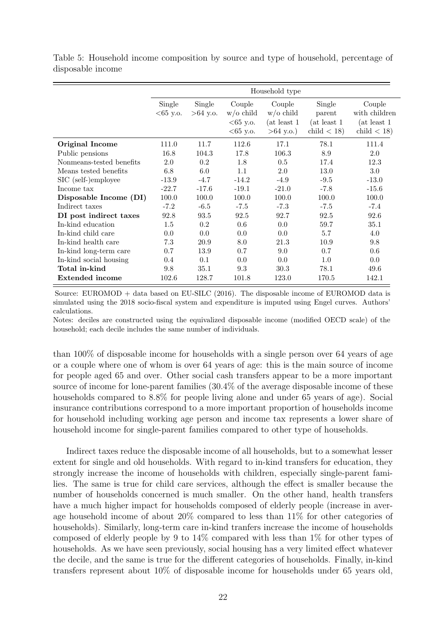<span id="page-21-0"></span>Table 5: Household income composition by source and type of household, percentage of disposable income

|                          |                      |                      |                                      | Household type                         |                                  |                                         |
|--------------------------|----------------------|----------------------|--------------------------------------|----------------------------------------|----------------------------------|-----------------------------------------|
|                          | Single<br>$<65$ y.o. | Single<br>$>64$ y.o. | Couple<br>$w$ /0 child<br>$<65$ y.o. | Couple<br>$w$ /o child<br>(at least 1) | Single<br>parent<br>(at least 1) | Couple<br>with children<br>(at least 1) |
|                          |                      |                      | $<65$ y.o.                           | $>64$ y.o.)                            | $child < 18$ )                   | child $<$ 18)                           |
| Original Income          | 111.0                | 11.7                 | 112.6                                | 17.1                                   | 78.1                             | 111.4                                   |
| Public pensions          | 16.8                 | 104.3                | 17.8                                 | 106.3                                  | 8.9                              | 2.0                                     |
| Nonmeans-tested benefits | 2.0                  | 0.2                  | 1.8                                  | 0.5                                    | 17.4                             | 12.3                                    |
| Means tested benefits    | 6.8                  | 6.0                  | 1.1                                  | 2.0                                    | 13.0                             | 3.0                                     |
| SIC (self-)employee      | $-13.9$              | $-4.7$               | $-14.2$                              | $-4.9$                                 | $-9.5$                           | $-13.0$                                 |
| Income tax               | $-22.7$              | $-17.6$              | $-19.1$                              | $-21.0$                                | $-7.8$                           | $-15.6$                                 |
| Disposable Income (DI)   | 100.0                | 100.0                | 100.0                                | 100.0                                  | 100.0                            | 100.0                                   |
| Indirect taxes           | $-7.2$               | $-6.5$               | $-7.5$                               | $-7.3$                                 | $-7.5$                           | $-7.4$                                  |
| DI post indirect taxes   | 92.8                 | 93.5                 | 92.5                                 | 92.7                                   | 92.5                             | 92.6                                    |
| In-kind education        | $1.5\,$              | 0.2                  | 0.6                                  | 0.0                                    | 59.7                             | 35.1                                    |
| In-kind child care       | 0.0                  | 0.0                  | 0.0                                  | 0.0                                    | 5.7                              | 4.0                                     |
| In-kind health care      | 7.3                  | 20.9                 | 8.0                                  | 21.3                                   | 10.9                             | 9.8                                     |
| In-kind long-term care   | 0.7                  | 13.9                 | 0.7                                  | 9.0                                    | 0.7                              | 0.6                                     |
| In-kind social housing   | 0.4                  | 0.1                  | 0.0                                  | 0.0                                    | $1.0\,$                          | 0.0                                     |
| Total in-kind            | 9.8                  | 35.1                 | 9.3                                  | 30.3                                   | 78.1                             | 49.6                                    |
| <b>Extended income</b>   | 102.6                | 128.7                | 101.8                                | 123.0                                  | 170.5                            | 142.1                                   |

Source: EUROMOD + data based on EU-SILC (2016). The disposable income of EUROMOD data is simulated using the 2018 socio-fiscal system and expenditure is imputed using Engel curves. Authors' calculations.

Notes: deciles are constructed using the equivalized disposable income (modified OECD scale) of the household; each decile includes the same number of individuals.

than 100% of disposable income for households with a single person over 64 years of age or a couple where one of whom is over 64 years of age: this is the main source of income for people aged 65 and over. Other social cash transfers appear to be a more important source of income for lone-parent families (30.4% of the average disposable income of these households compared to 8.8% for people living alone and under 65 years of age). Social insurance contributions correspond to a more important proportion of households income for household including working age person and income tax represents a lower share of household income for single-parent families compared to other type of households.

Indirect taxes reduce the disposable income of all households, but to a somewhat lesser extent for single and old households. With regard to in-kind transfers for education, they strongly increase the income of households with children, especially single-parent families. The same is true for child care services, although the effect is smaller because the number of households concerned is much smaller. On the other hand, health transfers have a much higher impact for households composed of elderly people (increase in average household income of about 20% compared to less than 11% for other categories of households). Similarly, long-term care in-kind tranfers increase the income of households composed of elderly people by 9 to 14% compared with less than 1% for other types of households. As we have seen previously, social housing has a very limited effect whatever the decile, and the same is true for the different categories of households. Finally, in-kind transfers represent about 10% of disposable income for households under 65 years old,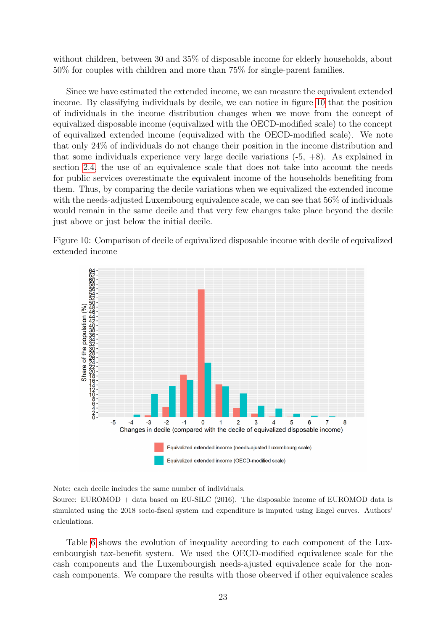without children, between 30 and 35% of disposable income for elderly households, about 50% for couples with children and more than 75% for single-parent families.

Since we have estimated the extended income, we can measure the equivalent extended income. By classifying individuals by decile, we can notice in figure [10](#page-22-0) that the position of individuals in the income distribution changes when we move from the concept of equivalized disposable income (equivalized with the OECD-modified scale) to the concept of equivalized extended income (equivalized with the OECD-modified scale). We note that only 24% of individuals do not change their position in the income distribution and that some individuals experience very large decile variations  $(-5, +8)$ . As explained in section [2.4,](#page-13-1) the use of an equivalence scale that does not take into account the needs for public services overestimate the equivalent income of the households benefiting from them. Thus, by comparing the decile variations when we equivalized the extended income with the needs-adjusted Luxembourg equivalence scale, we can see that 56\% of individuals would remain in the same decile and that very few changes take place beyond the decile just above or just below the initial decile.

<span id="page-22-0"></span>



Note: each decile includes the same number of individuals.

Source: EUROMOD + data based on EU-SILC (2016). The disposable income of EUROMOD data is simulated using the 2018 socio-fiscal system and expenditure is imputed using Engel curves. Authors' calculations.

Table [6](#page-24-0) shows the evolution of inequality according to each component of the Luxembourgish tax-benefit system. We used the OECD-modified equivalence scale for the cash components and the Luxembourgish needs-ajusted equivalence scale for the noncash components. We compare the results with those observed if other equivalence scales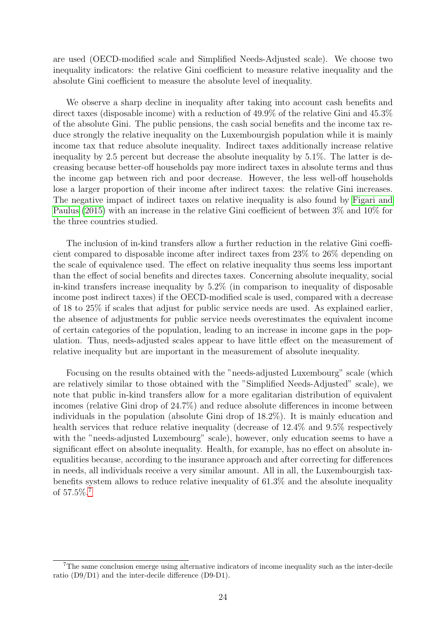are used (OECD-modified scale and Simplified Needs-Adjusted scale). We choose two inequality indicators: the relative Gini coefficient to measure relative inequality and the absolute Gini coefficient to measure the absolute level of inequality.

We observe a sharp decline in inequality after taking into account cash benefits and direct taxes (disposable income) with a reduction of 49.9% of the relative Gini and 45.3% of the absolute Gini. The public pensions, the cash social benefits and the income tax reduce strongly the relative inequality on the Luxembourgish population while it is mainly income tax that reduce absolute inequality. Indirect taxes additionally increase relative inequality by 2.5 percent but decrease the absolute inequality by 5.1%. The latter is decreasing because better-off households pay more indirect taxes in absolute terms and thus the income gap between rich and poor decrease. However, the less well-off households lose a larger proportion of their income after indirect taxes: the relative Gini increases. The negative impact of indirect taxes on relative inequality is also found by [Figari and](#page-26-4) [Paulus](#page-26-4) [\(2015\)](#page-26-4) with an increase in the relative Gini coefficient of between 3% and 10% for the three countries studied.

The inclusion of in-kind transfers allow a further reduction in the relative Gini coefficient compared to disposable income after indirect taxes from 23% to 26% depending on the scale of equivalence used. The effect on relative inequality thus seems less important than the effect of social benefits and directes taxes. Concerning absolute inequality, social in-kind transfers increase inequality by 5.2% (in comparison to inequality of disposable income post indirect taxes) if the OECD-modified scale is used, compared with a decrease of 18 to 25% if scales that adjust for public service needs are used. As explained earlier, the absence of adjustments for public service needs overestimates the equivalent income of certain categories of the population, leading to an increase in income gaps in the population. Thus, needs-adjusted scales appear to have little effect on the measurement of relative inequality but are important in the measurement of absolute inequality.

Focusing on the results obtained with the "needs-adjusted Luxembourg" scale (which are relatively similar to those obtained with the "Simplified Needs-Adjusted" scale), we note that public in-kind transfers allow for a more egalitarian distribution of equivalent incomes (relative Gini drop of 24.7%) and reduce absolute differences in income between individuals in the population (absolute Gini drop of 18.2%). It is mainly education and health services that reduce relative inequality (decrease of 12.4% and 9.5% respectively with the "needs-adjusted Luxembourg" scale), however, only education seems to have a significant effect on absolute inequality. Health, for example, has no effect on absolute inequalities because, according to the insurance approach and after correcting for differences in needs, all individuals receive a very similar amount. All in all, the Luxembourgish taxbenefits system allows to reduce relative inequality of 61.3% and the absolute inequality of 57.5%.[7](#page-23-0)

<span id="page-23-0"></span><sup>7</sup>The same conclusion emerge using alternative indicators of income inequality such as the inter-decile ratio (D9/D1) and the inter-decile difference (D9-D1).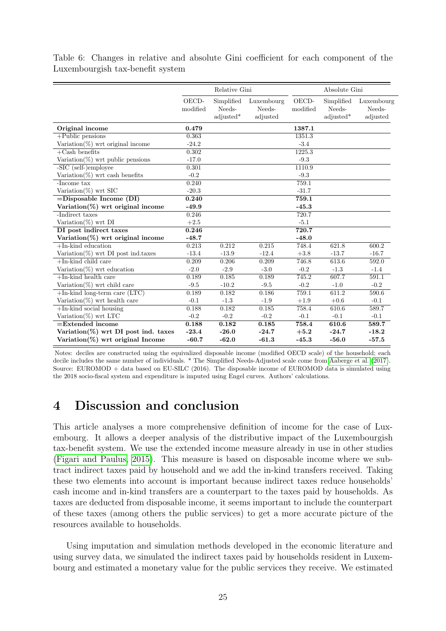<span id="page-24-0"></span>Table 6: Changes in relative and absolute Gini coefficient for each component of the Luxembourgish tax-benefit system

|                                                                             |                    | Relative Gini                     |                                  |                   | Absolute Gini                     |                                  |  |  |
|-----------------------------------------------------------------------------|--------------------|-----------------------------------|----------------------------------|-------------------|-----------------------------------|----------------------------------|--|--|
|                                                                             | OECD-<br>modified  | Simplified<br>Needs-<br>adjusted* | Luxembourg<br>Needs-<br>adjusted | OECD-<br>modified | Simplified<br>Needs-<br>adjusted* | Luxembourg<br>Needs-<br>adjusted |  |  |
| Original income                                                             | 0.479              |                                   |                                  | 1387.1            |                                   |                                  |  |  |
| $+$ Public pensions                                                         | 0.363              |                                   |                                  | 1351.3            |                                   |                                  |  |  |
| Variation $(\%)$ wrt original income                                        | $-24.2$            |                                   |                                  | $-3.4$            |                                   |                                  |  |  |
| $+Cash$ benefits                                                            | 0.302              |                                   |                                  | 1225.3            |                                   |                                  |  |  |
| Variation( $\%$ ) wrt public pensions                                       | $-17.0$            |                                   |                                  | $-9.3$            |                                   |                                  |  |  |
| -SIC (self-)employee                                                        | 0.301              |                                   |                                  | 1110.9            |                                   |                                  |  |  |
| Variation( $\%$ ) wrt cash benefits                                         | $-0.2$             |                                   |                                  | $-9.3$            |                                   |                                  |  |  |
| -Income tax                                                                 | 0.240              |                                   |                                  | 759.1             |                                   |                                  |  |  |
| Variation $(\%)$ wrt SIC                                                    | $-20.3$            |                                   |                                  | $-31.7$           |                                   |                                  |  |  |
| $=$ Disposable Income (DI)                                                  | 0.240              |                                   |                                  | 759.1             |                                   |                                  |  |  |
| Variation $(\%)$ wrt original income                                        | $-49.9$            |                                   |                                  | $-45.3$           |                                   |                                  |  |  |
| -Indirect taxes                                                             | 0.246              |                                   |                                  | 720.7             |                                   |                                  |  |  |
| Variation $(\%)$ wrt DI                                                     | $+2.5$             |                                   |                                  | $-5.1$            |                                   |                                  |  |  |
| DI post indirect taxes                                                      | 0.246              |                                   |                                  | 720.7             |                                   |                                  |  |  |
| Variation(%) wrt original income                                            | $-48.7$            |                                   |                                  | $-48.0$           |                                   |                                  |  |  |
| $+$ In-kind education                                                       | 0.213              | 0.212                             | 0.215                            | 748.4             | 621.8                             | 600.2                            |  |  |
| Variation( $\%$ ) wrt DI post ind.taxes                                     | $-13.4$            | $-13.9$                           | $-12.4$                          | $+3.8$            | $-13.7$                           | $-16.7$                          |  |  |
| $+$ In-kind child care                                                      | 0.209              | 0.206                             | 0.209                            | 746.8             | 613.6                             | 592.0                            |  |  |
| Variation $(\%)$ wrt education                                              | $-2.0$             | $-2.9$                            | $-3.0$                           | $-0.2$            | $-1.3$                            | $-1.4$                           |  |  |
| $+$ In-kind health care                                                     | 0.189              | 0.185                             | 0.189                            | 745.2             | 607.7                             | 591.1                            |  |  |
| Variation( $\%$ ) wrt child care                                            | $-9.5$             | $-10.2$                           | $-9.5$                           | $-0.2$            | $-1.0$                            | $-0.2$                           |  |  |
| $+$ In-kind long-term care (LTC)                                            | 0.189              | 0.182                             | 0.186                            | 759.1             | 611.2                             | 590.6                            |  |  |
| Variation( $\%$ ) wrt health care                                           | $-0.1$             | $-1.3$                            | $-1.9$                           | $+1.9$            | $+0.6$                            | $-0.1$                           |  |  |
| $+$ In-kind social housing                                                  | 0.188              | 0.182                             | 0.185                            | 758.4             | 610.6                             | 589.7                            |  |  |
| Variation $(\%)$ wrt LTC                                                    | $-0.2$             | $-0.2$                            | $-0.2$                           | $-0.1$            | $-0.1$                            | $-0.1$                           |  |  |
| $=$ Extended income                                                         | 0.188              | 0.182                             | 0.185                            | 758.4             | 610.6                             | 589.7                            |  |  |
| Variation(%) wrt DI post ind. taxes<br>Variation $(\%)$ wrt original Income | $-23.4$<br>$-60.7$ | $-26.0$<br>$-62.0$                | $-24.7$<br>$-61.3$               | $+5.2$<br>$-45.3$ | $-24.7$<br>$-56.0$                | $-18.2$<br>$-57.5$               |  |  |

Notes: deciles are constructed using the equivalized disposable income (modified OECD scale) of the household; each decile includes the same number of individuals. \* The Simplified Needs-Adjusted scale come from [Aaberge et al.](#page-26-13) [\(2017\)](#page-26-13). Source: EUROMOD + data based on EU-SILC (2016). The disposable income of EUROMOD data is simulated using the 2018 socio-fiscal system and expenditure is imputed using Engel curves. Authors' calculations.

# 4 Discussion and conclusion

This article analyses a more comprehensive definition of income for the case of Luxembourg. It allows a deeper analysis of the distributive impact of the Luxembourgish tax-benefit system. We use the extended income measure already in use in other studies [\(Figari and Paulus, 2015\)](#page-26-4). This measure is based on disposable income where we subtract indirect taxes paid by household and we add the in-kind transfers received. Taking these two elements into account is important because indirect taxes reduce households' cash income and in-kind transfers are a counterpart to the taxes paid by households. As taxes are deducted from disposable income, it seems important to include the counterpart of these taxes (among others the public services) to get a more accurate picture of the resources available to households.

Using imputation and simulation methods developed in the economic literature and using survey data, we simulated the indirect taxes paid by households resident in Luxembourg and estimated a monetary value for the public services they receive. We estimated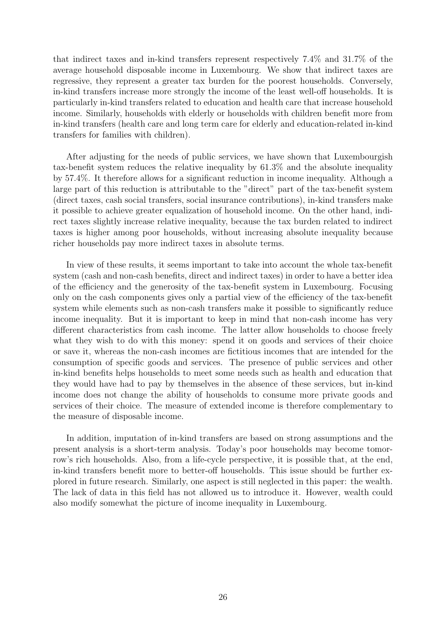that indirect taxes and in-kind transfers represent respectively 7.4% and 31.7% of the average household disposable income in Luxembourg. We show that indirect taxes are regressive, they represent a greater tax burden for the poorest households. Conversely, in-kind transfers increase more strongly the income of the least well-off households. It is particularly in-kind transfers related to education and health care that increase household income. Similarly, households with elderly or households with children benefit more from in-kind transfers (health care and long term care for elderly and education-related in-kind transfers for families with children).

After adjusting for the needs of public services, we have shown that Luxembourgish tax-benefit system reduces the relative inequality by 61.3% and the absolute inequality by 57.4%. It therefore allows for a significant reduction in income inequality. Although a large part of this reduction is attributable to the "direct" part of the tax-benefit system (direct taxes, cash social transfers, social insurance contributions), in-kind transfers make it possible to achieve greater equalization of household income. On the other hand, indirect taxes slightly increase relative inequality, because the tax burden related to indirect taxes is higher among poor households, without increasing absolute inequality because richer households pay more indirect taxes in absolute terms.

In view of these results, it seems important to take into account the whole tax-benefit system (cash and non-cash benefits, direct and indirect taxes) in order to have a better idea of the efficiency and the generosity of the tax-benefit system in Luxembourg. Focusing only on the cash components gives only a partial view of the efficiency of the tax-benefit system while elements such as non-cash transfers make it possible to significantly reduce income inequality. But it is important to keep in mind that non-cash income has very different characteristics from cash income. The latter allow households to choose freely what they wish to do with this money: spend it on goods and services of their choice or save it, whereas the non-cash incomes are fictitious incomes that are intended for the consumption of specific goods and services. The presence of public services and other in-kind benefits helps households to meet some needs such as health and education that they would have had to pay by themselves in the absence of these services, but in-kind income does not change the ability of households to consume more private goods and services of their choice. The measure of extended income is therefore complementary to the measure of disposable income.

In addition, imputation of in-kind transfers are based on strong assumptions and the present analysis is a short-term analysis. Today's poor households may become tomorrow's rich households. Also, from a life-cycle perspective, it is possible that, at the end, in-kind transfers benefit more to better-off households. This issue should be further explored in future research. Similarly, one aspect is still neglected in this paper: the wealth. The lack of data in this field has not allowed us to introduce it. However, wealth could also modify somewhat the picture of income inequality in Luxembourg.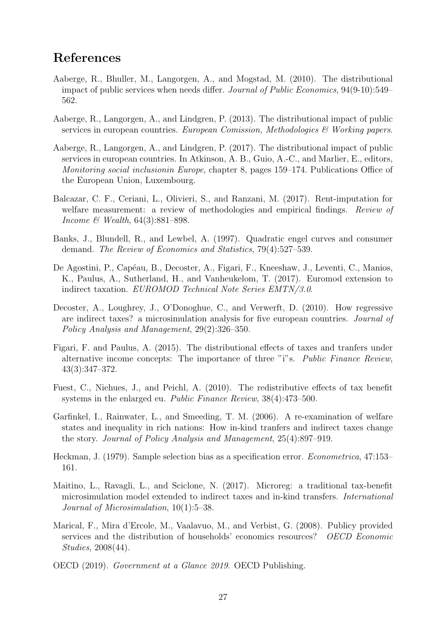# References

- <span id="page-26-8"></span>Aaberge, R., Bhuller, M., Langorgen, A., and Mogstad, M. (2010). The distributional impact of public services when needs differ. Journal of Public Economics, 94(9-10):549– 562.
- <span id="page-26-10"></span>Aaberge, R., Langorgen, A., and Lindgren, P. (2013). The distributional impact of public services in european countries. European Comission, Methodologies  $\mathcal{B}$  Working papers.
- <span id="page-26-13"></span>Aaberge, R., Langorgen, A., and Lindgren, P. (2017). The distributional impact of public services in european countries. In Atkinson, A. B., Guio, A.-C., and Marlier, E., editors, Monitoring social inclusionin Europe, chapter 8, pages 159–174. Publications Office of the European Union, Luxembourg.
- <span id="page-26-11"></span>Balcazar, C. F., Ceriani, L., Olivieri, S., and Ranzani, M. (2017). Rent-imputation for welfare measurement: a review of methodologies and empirical findings. Review of Income & Wealth, 64(3):881–898.
- <span id="page-26-9"></span>Banks, J., Blundell, R., and Lewbel, A. (1997). Quadratic engel curves and consumer demand. The Review of Economics and Statistics, 79(4):527–539.
- <span id="page-26-5"></span>De Agostini, P., Capéau, B., Decoster, A., Figari, F., Kneeshaw, J., Leventi, C., Manios, K., Paulus, A., Sutherland, H., and Vanheukelom, T. (2017). Euromod extension to indirect taxation. EUROMOD Technical Note Series EMTN/3.0.
- <span id="page-26-3"></span>Decoster, A., Loughrey, J., O'Donoghue, C., and Verwerft, D. (2010). How regressive are indirect taxes? a microsimulation analysis for five european countries. Journal of Policy Analysis and Management, 29(2):326–350.
- <span id="page-26-4"></span>Figari, F. and Paulus, A. (2015). The distributional effects of taxes and tranfers under alternative income concepts: The importance of three "i"s. Public Finance Review, 43(3):347–372.
- <span id="page-26-0"></span>Fuest, C., Niehues, J., and Peichl, A. (2010). The redistributive effects of tax benefit systems in the enlarged eu. Public Finance Review, 38(4):473–500.
- <span id="page-26-1"></span>Garfinkel, I., Rainwater, L., and Smeeding, T. M. (2006). A re-examination of welfare states and inequality in rich nations: How in-kind tranfers and indirect taxes change the story. Journal of Policy Analysis and Management, 25(4):897–919.
- <span id="page-26-12"></span>Heckman, J. (1979). Sample selection bias as a specification error. Econometrica, 47:153– 161.
- <span id="page-26-6"></span>Maitino, L., Ravagli, L., and Sciclone, N. (2017). Microreg: a traditional tax-benefit microsimulation model extended to indirect taxes and in-kind transfers. International Journal of Microsimulation, 10(1):5–38.
- <span id="page-26-7"></span>Marical, F., Mira d'Ercole, M., Vaalavuo, M., and Verbist, G. (2008). Publicy provided services and the distribution of households' economics resources? OECD Economic Studies, 2008(44).
- <span id="page-26-2"></span>OECD (2019). Government at a Glance 2019. OECD Publishing.